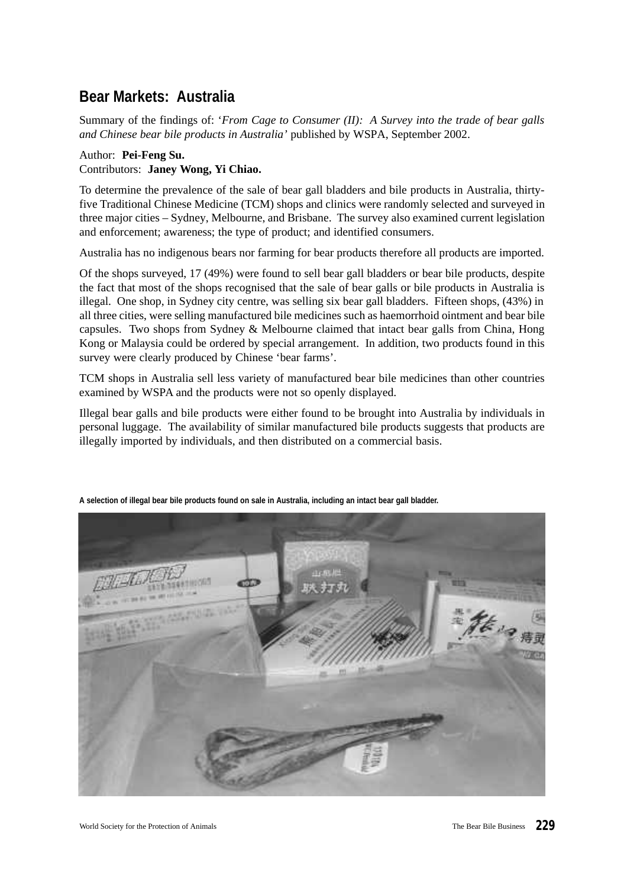# **Bear Markets: Australia**

Summary of the findings of: '*From Cage to Consumer (II): A Survey into the trade of bear galls and Chinese bear bile products in Australia'* published by WSPA, September 2002.

## Author: **Pei-Feng Su.** Contributors: **Janey Wong, Yi Chiao.**

To determine the prevalence of the sale of bear gall bladders and bile products in Australia, thirtyfive Traditional Chinese Medicine (TCM) shops and clinics were randomly selected and surveyed in three major cities – Sydney, Melbourne, and Brisbane. The survey also examined current legislation and enforcement; awareness; the type of product; and identified consumers.

Australia has no indigenous bears nor farming for bear products therefore all products are imported.

Of the shops surveyed, 17 (49%) were found to sell bear gall bladders or bear bile products, despite the fact that most of the shops recognised that the sale of bear galls or bile products in Australia is illegal. One shop, in Sydney city centre, was selling six bear gall bladders. Fifteen shops, (43%) in all three cities, were selling manufactured bile medicines such as haemorrhoid ointment and bear bile capsules. Two shops from Sydney & Melbourne claimed that intact bear galls from China, Hong Kong or Malaysia could be ordered by special arrangement. In addition, two products found in this survey were clearly produced by Chinese 'bear farms'.

TCM shops in Australia sell less variety of manufactured bear bile medicines than other countries examined by WSPA and the products were not so openly displayed.

Illegal bear galls and bile products were either found to be brought into Australia by individuals in personal luggage. The availability of similar manufactured bile products suggests that products are illegally imported by individuals, and then distributed on a commercial basis.



**A selection of illegal bear bile products found on sale in Australia, including an intact bear gall bladder.**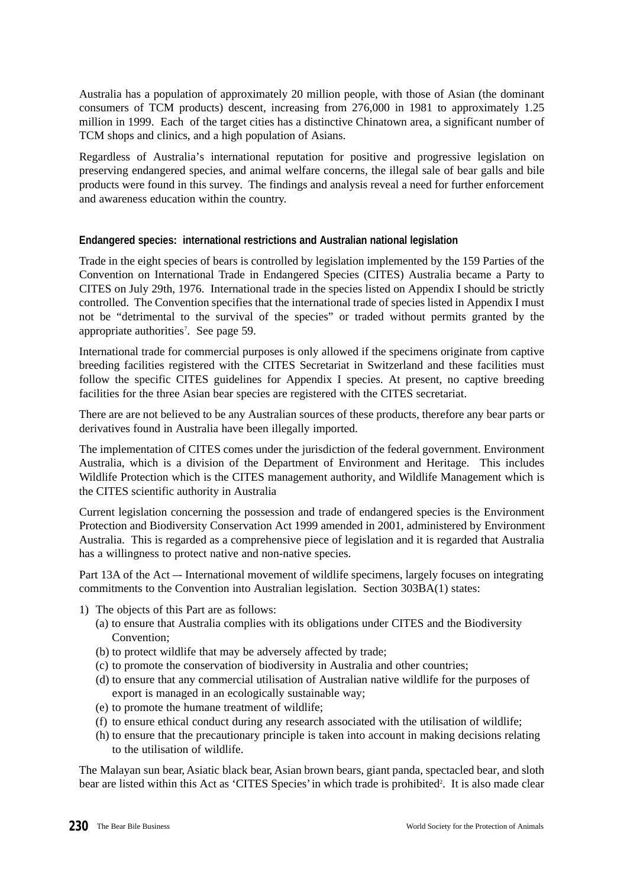Australia has a population of approximately 20 million people, with those of Asian (the dominant consumers of TCM products) descent, increasing from 276,000 in 1981 to approximately 1.25 million in 1999. Each of the target cities has a distinctive Chinatown area, a significant number of TCM shops and clinics, and a high population of Asians.

Regardless of Australia's international reputation for positive and progressive legislation on preserving endangered species, and animal welfare concerns, the illegal sale of bear galls and bile products were found in this survey. The findings and analysis reveal a need for further enforcement and awareness education within the country.

#### **Endangered species: international restrictions and Australian national legislation**

Trade in the eight species of bears is controlled by legislation implemented by the 159 Parties of the Convention on International Trade in Endangered Species (CITES) Australia became a Party to CITES on July 29th, 1976. International trade in the species listed on Appendix I should be strictly controlled. The Convention specifies that the international trade of species listed in Appendix I must not be "detrimental to the survival of the species" or traded without permits granted by the appropriate authorities<sup>7</sup>. See page 59.

International trade for commercial purposes is only allowed if the specimens originate from captive breeding facilities registered with the CITES Secretariat in Switzerland and these facilities must follow the specific CITES guidelines for Appendix I species. At present, no captive breeding facilities for the three Asian bear species are registered with the CITES secretariat.

There are are not believed to be any Australian sources of these products, therefore any bear parts or derivatives found in Australia have been illegally imported.

The implementation of CITES comes under the jurisdiction of the federal government. Environment Australia, which is a division of the Department of Environment and Heritage. This includes Wildlife Protection which is the CITES management authority, and Wildlife Management which is the CITES scientific authority in Australia

Current legislation concerning the possession and trade of endangered species is the Environment Protection and Biodiversity Conservation Act 1999 amended in 2001, administered by Environment Australia. This is regarded as a comprehensive piece of legislation and it is regarded that Australia has a willingness to protect native and non-native species.

Part 13A of the Act –- International movement of wildlife specimens, largely focuses on integrating commitments to the Convention into Australian legislation. Section 303BA(1) states:

- 1) The objects of this Part are as follows:
	- (a) to ensure that Australia complies with its obligations under CITES and the Biodiversity Convention<sup>.</sup>
	- (b) to protect wildlife that may be adversely affected by trade;
	- (c) to promote the conservation of biodiversity in Australia and other countries;
	- (d) to ensure that any commercial utilisation of Australian native wildlife for the purposes of export is managed in an ecologically sustainable way;
	- (e) to promote the humane treatment of wildlife;
	- (f) to ensure ethical conduct during any research associated with the utilisation of wildlife;
	- (h) to ensure that the precautionary principle is taken into account in making decisions relating to the utilisation of wildlife.

The Malayan sun bear, Asiatic black bear, Asian brown bears, giant panda, spectacled bear, and sloth bear are listed within this Act as 'CITES Species' in which trade is prohibited<sup>2</sup>. It is also made clear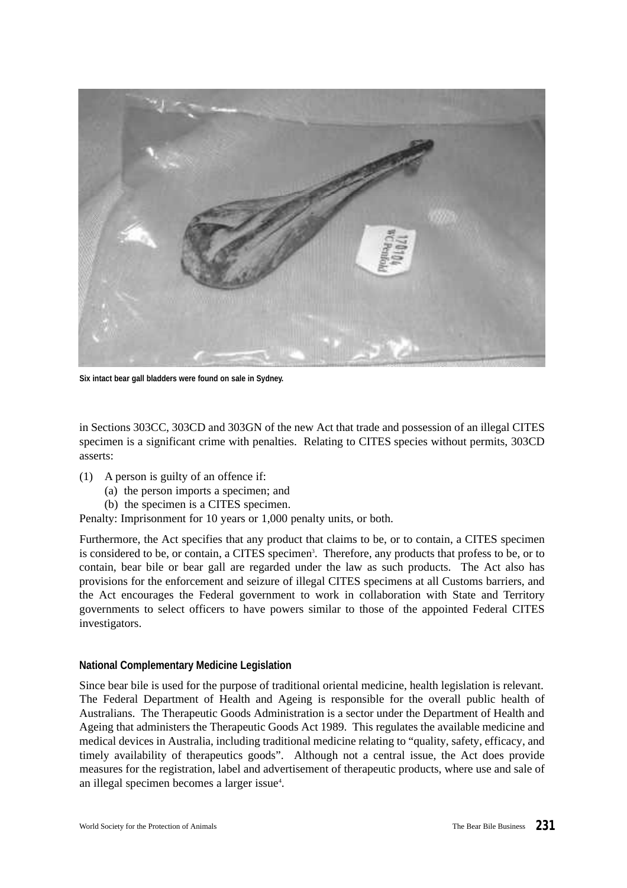

**Six intact bear gall bladders were found on sale in Sydney.**

in Sections 303CC, 303CD and 303GN of the new Act that trade and possession of an illegal CITES specimen is a significant crime with penalties. Relating to CITES species without permits, 303CD asserts:

- (1) A person is guilty of an offence if:
	- (a) the person imports a specimen; and
	- (b) the specimen is a CITES specimen.
- Penalty: Imprisonment for 10 years or 1,000 penalty units, or both.

Furthermore, the Act specifies that any product that claims to be, or to contain, a CITES specimen is considered to be, or contain, a CITES specimen<sup>3</sup>. Therefore, any products that profess to be, or to contain, bear bile or bear gall are regarded under the law as such products. The Act also has provisions for the enforcement and seizure of illegal CITES specimens at all Customs barriers, and the Act encourages the Federal government to work in collaboration with State and Territory governments to select officers to have powers similar to those of the appointed Federal CITES investigators.

#### **National Complementary Medicine Legislation**

Since bear bile is used for the purpose of traditional oriental medicine, health legislation is relevant. The Federal Department of Health and Ageing is responsible for the overall public health of Australians. The Therapeutic Goods Administration is a sector under the Department of Health and Ageing that administers the Therapeutic Goods Act 1989. This regulates the available medicine and medical devices in Australia, including traditional medicine relating to "quality, safety, efficacy, and timely availability of therapeutics goods". Although not a central issue, the Act does provide measures for the registration, label and advertisement of therapeutic products, where use and sale of an illegal specimen becomes a larger issue<sup>4</sup>.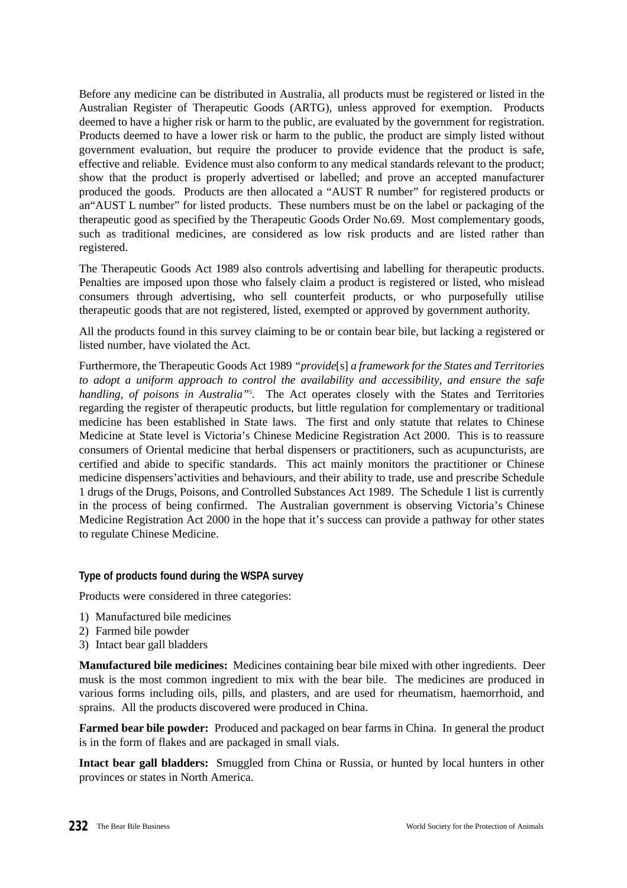Before any medicine can be distributed in Australia, all products must be registered or listed in the Australian Register of Therapeutic Goods (ARTG), unless approved for exemption. Products deemed to have a higher risk or harm to the public, are evaluated by the government for registration. Products deemed to have a lower risk or harm to the public, the product are simply listed without government evaluation, but require the producer to provide evidence that the product is safe, effective and reliable. Evidence must also conform to any medical standards relevant to the product; show that the product is properly advertised or labelled; and prove an accepted manufacturer produced the goods. Products are then allocated a "AUST R number" for registered products or an"AUST L number" for listed products. These numbers must be on the label or packaging of the therapeutic good as specified by the Therapeutic Goods Order No.69. Most complementary goods, such as traditional medicines, are considered as low risk products and are listed rather than registered.

The Therapeutic Goods Act 1989 also controls advertising and labelling for therapeutic products. Penalties are imposed upon those who falsely claim a product is registered or listed, who mislead consumers through advertising, who sell counterfeit products, or who purposefully utilise therapeutic goods that are not registered, listed, exempted or approved by government authority.

All the products found in this survey claiming to be or contain bear bile, but lacking a registered or listed number, have violated the Act.

Furthermore, the Therapeutic Goods Act 1989 *"provide*[s] *a framework for the States and Territories to adopt a uniform approach to control the availability and accessibility, and ensure the safe handling, of poisons in Australia"*<sup>5</sup> . The Act operates closely with the States and Territories regarding the register of therapeutic products, but little regulation for complementary or traditional medicine has been established in State laws. The first and only statute that relates to Chinese Medicine at State level is Victoria's Chinese Medicine Registration Act 2000. This is to reassure consumers of Oriental medicine that herbal dispensers or practitioners, such as acupuncturists, are certified and abide to specific standards. This act mainly monitors the practitioner or Chinese medicine dispensers'activities and behaviours, and their ability to trade, use and prescribe Schedule 1 drugs of the Drugs, Poisons, and Controlled Substances Act 1989. The Schedule 1 list is currently in the process of being confirmed. The Australian government is observing Victoria's Chinese Medicine Registration Act 2000 in the hope that it's success can provide a pathway for other states to regulate Chinese Medicine.

## **Type of products found during the WSPA survey**

Products were considered in three categories:

- 1) Manufactured bile medicines
- 2) Farmed bile powder
- 3) Intact bear gall bladders

**Manufactured bile medicines:** Medicines containing bear bile mixed with other ingredients. Deer musk is the most common ingredient to mix with the bear bile. The medicines are produced in various forms including oils, pills, and plasters, and are used for rheumatism, haemorrhoid, and sprains. All the products discovered were produced in China.

**Farmed bear bile powder:** Produced and packaged on bear farms in China. In general the product is in the form of flakes and are packaged in small vials.

**Intact bear gall bladders:** Smuggled from China or Russia, or hunted by local hunters in other provinces or states in North America.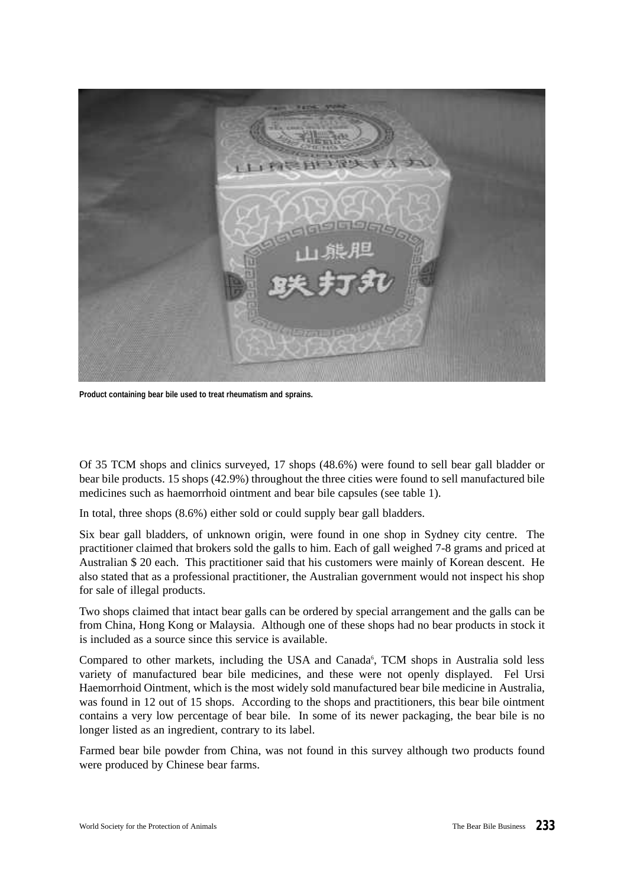

**Product containing bear bile used to treat rheumatism and sprains.**

Of 35 TCM shops and clinics surveyed, 17 shops (48.6%) were found to sell bear gall bladder or bear bile products. 15 shops (42.9%) throughout the three cities were found to sell manufactured bile medicines such as haemorrhoid ointment and bear bile capsules (see table 1).

In total, three shops (8.6%) either sold or could supply bear gall bladders.

Six bear gall bladders, of unknown origin, were found in one shop in Sydney city centre. The practitioner claimed that brokers sold the galls to him. Each of gall weighed 7-8 grams and priced at Australian \$ 20 each. This practitioner said that his customers were mainly of Korean descent. He also stated that as a professional practitioner, the Australian government would not inspect his shop for sale of illegal products.

Two shops claimed that intact bear galls can be ordered by special arrangement and the galls can be from China, Hong Kong or Malaysia. Although one of these shops had no bear products in stock it is included as a source since this service is available.

Compared to other markets, including the USA and Canada<sup>6</sup>, TCM shops in Australia sold less variety of manufactured bear bile medicines, and these were not openly displayed. Fel Ursi Haemorrhoid Ointment, which is the most widely sold manufactured bear bile medicine in Australia, was found in 12 out of 15 shops. According to the shops and practitioners, this bear bile ointment contains a very low percentage of bear bile. In some of its newer packaging, the bear bile is no longer listed as an ingredient, contrary to its label.

Farmed bear bile powder from China, was not found in this survey although two products found were produced by Chinese bear farms.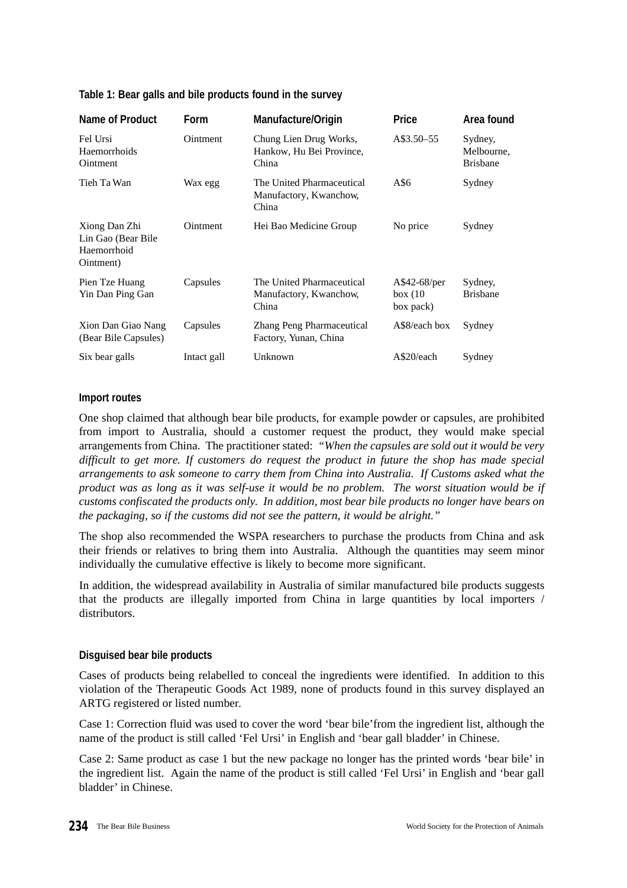|  |  | Table 1: Bear galls and bile products found in the survey |  |  |
|--|--|-----------------------------------------------------------|--|--|
|--|--|-----------------------------------------------------------|--|--|

| <b>Name of Product</b>                                           | <b>Form</b> | Manufacture/Origin                                           | <b>Price</b>                         | Area found                               |
|------------------------------------------------------------------|-------------|--------------------------------------------------------------|--------------------------------------|------------------------------------------|
| Fel Ursi<br>Haemorrhoids<br>Ointment                             | Ointment    | Chung Lien Drug Works,<br>Hankow, Hu Bei Province,<br>China  | A\$3.50–55                           | Sydney,<br>Melbourne,<br><b>Brisbane</b> |
| Tieh Ta Wan                                                      | Wax egg     | The United Pharmaceutical<br>Manufactory, Kwanchow,<br>China | A\$6                                 | Sydney                                   |
| Xiong Dan Zhi<br>Lin Gao (Bear Bile)<br>Haemorrhoid<br>Ointment) | Ointment    | Hei Bao Medicine Group                                       | No price                             | Sydney                                   |
| Pien Tze Huang<br>Yin Dan Ping Gan                               | Capsules    | The United Pharmaceutical<br>Manufactory, Kwanchow,<br>China | A\$42-68/per<br>box(10)<br>box pack) | Sydney,<br><b>Brisbane</b>               |
| Xion Dan Giao Nang<br>(Bear Bile Capsules)                       | Capsules    | Zhang Peng Pharmaceutical<br>Factory, Yunan, China           | A\$8/each box                        | Sydney                                   |
| Six bear galls                                                   | Intact gall | Unknown                                                      | A\$20/each                           | Sydney                                   |

## **Import routes**

One shop claimed that although bear bile products, for example powder or capsules, are prohibited from import to Australia, should a customer request the product, they would make special arrangements from China. The practitioner stated: *"When the capsules are sold out it would be very difficult to get more. If customers do request the product in future the shop has made special arrangements to ask someone to carry them from China into Australia. If Customs asked what the product was as long as it was self-use it would be no problem. The worst situation would be if customs confiscated the products only. In addition, most bear bile products no longer have bears on the packaging, so if the customs did not see the pattern, it would be alright."*

The shop also recommended the WSPA researchers to purchase the products from China and ask their friends or relatives to bring them into Australia. Although the quantities may seem minor individually the cumulative effective is likely to become more significant.

In addition, the widespread availability in Australia of similar manufactured bile products suggests that the products are illegally imported from China in large quantities by local importers / distributors.

## **Disguised bear bile products**

Cases of products being relabelled to conceal the ingredients were identified. In addition to this violation of the Therapeutic Goods Act 1989, none of products found in this survey displayed an ARTG registered or listed number.

Case 1: Correction fluid was used to cover the word 'bear bile'from the ingredient list, although the name of the product is still called 'Fel Ursi' in English and 'bear gall bladder' in Chinese.

Case 2: Same product as case 1 but the new package no longer has the printed words 'bear bile' in the ingredient list. Again the name of the product is still called 'Fel Ursi' in English and 'bear gall bladder' in Chinese.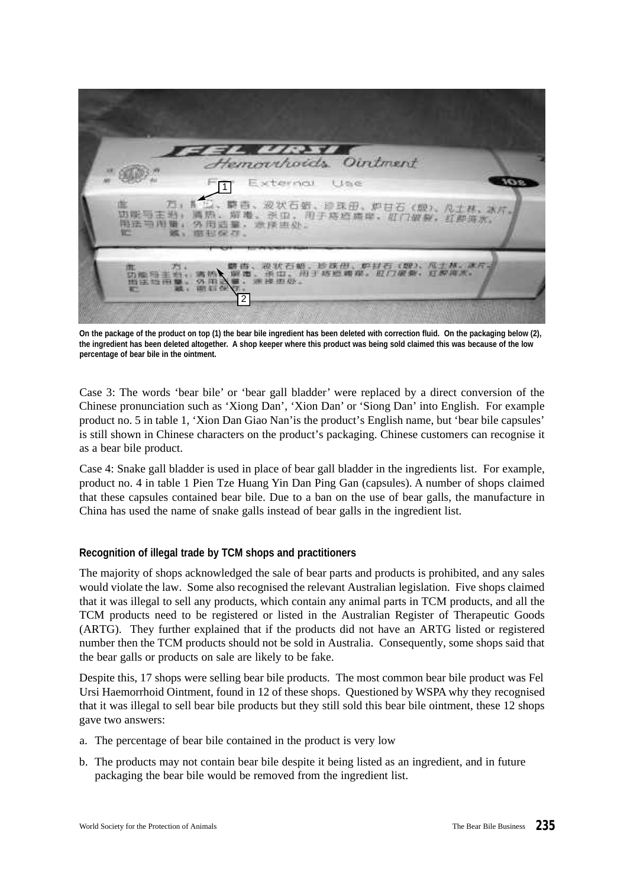

**On the package of the product on top (1) the bear bile ingredient has been deleted with correction fluid. On the packaging below (2), the ingredient has been deleted altogether. A shop keeper where this product was being sold claimed this was because of the low percentage of bear bile in the ointment.**

Case 3: The words 'bear bile' or 'bear gall bladder' were replaced by a direct conversion of the Chinese pronunciation such as 'Xiong Dan', 'Xion Dan' or 'Siong Dan' into English. For example product no. 5 in table 1, 'Xion Dan Giao Nan'is the product's English name, but 'bear bile capsules' is still shown in Chinese characters on the product's packaging. Chinese customers can recognise it as a bear bile product.

Case 4: Snake gall bladder is used in place of bear gall bladder in the ingredients list. For example, product no. 4 in table 1 Pien Tze Huang Yin Dan Ping Gan (capsules). A number of shops claimed that these capsules contained bear bile. Due to a ban on the use of bear galls, the manufacture in China has used the name of snake galls instead of bear galls in the ingredient list.

## **Recognition of illegal trade by TCM shops and practitioners**

The majority of shops acknowledged the sale of bear parts and products is prohibited, and any sales would violate the law. Some also recognised the relevant Australian legislation. Five shops claimed that it was illegal to sell any products, which contain any animal parts in TCM products, and all the TCM products need to be registered or listed in the Australian Register of Therapeutic Goods (ARTG). They further explained that if the products did not have an ARTG listed or registered number then the TCM products should not be sold in Australia. Consequently, some shops said that the bear galls or products on sale are likely to be fake.

Despite this, 17 shops were selling bear bile products. The most common bear bile product was Fel Ursi Haemorrhoid Ointment, found in 12 of these shops. Questioned by WSPA why they recognised that it was illegal to sell bear bile products but they still sold this bear bile ointment, these 12 shops gave two answers:

- a. The percentage of bear bile contained in the product is very low
- b. The products may not contain bear bile despite it being listed as an ingredient, and in future packaging the bear bile would be removed from the ingredient list.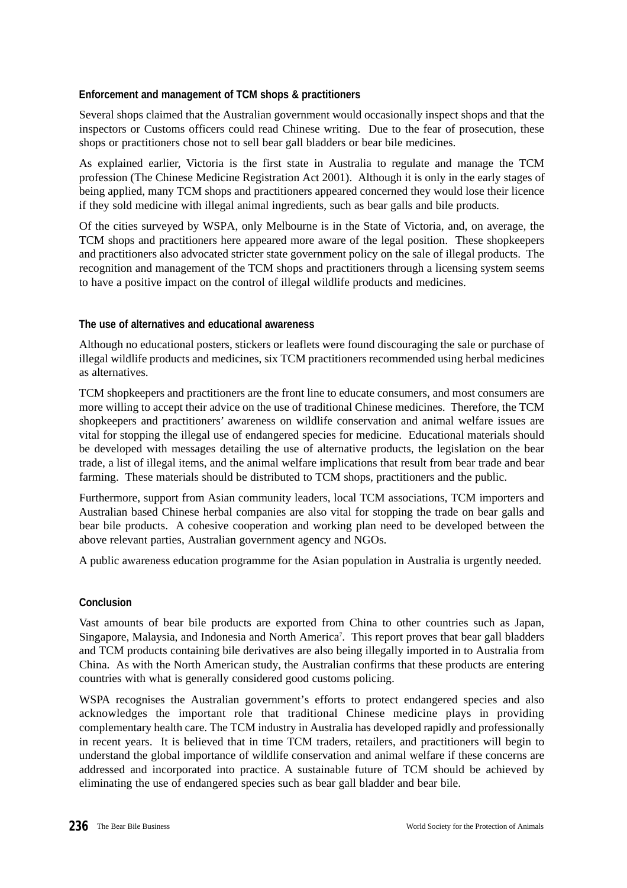## **Enforcement and management of TCM shops & practitioners**

Several shops claimed that the Australian government would occasionally inspect shops and that the inspectors or Customs officers could read Chinese writing. Due to the fear of prosecution, these shops or practitioners chose not to sell bear gall bladders or bear bile medicines.

As explained earlier, Victoria is the first state in Australia to regulate and manage the TCM profession (The Chinese Medicine Registration Act 2001). Although it is only in the early stages of being applied, many TCM shops and practitioners appeared concerned they would lose their licence if they sold medicine with illegal animal ingredients, such as bear galls and bile products.

Of the cities surveyed by WSPA, only Melbourne is in the State of Victoria, and, on average, the TCM shops and practitioners here appeared more aware of the legal position. These shopkeepers and practitioners also advocated stricter state government policy on the sale of illegal products. The recognition and management of the TCM shops and practitioners through a licensing system seems to have a positive impact on the control of illegal wildlife products and medicines.

## **The use of alternatives and educational awareness**

Although no educational posters, stickers or leaflets were found discouraging the sale or purchase of illegal wildlife products and medicines, six TCM practitioners recommended using herbal medicines as alternatives.

TCM shopkeepers and practitioners are the front line to educate consumers, and most consumers are more willing to accept their advice on the use of traditional Chinese medicines. Therefore, the TCM shopkeepers and practitioners' awareness on wildlife conservation and animal welfare issues are vital for stopping the illegal use of endangered species for medicine. Educational materials should be developed with messages detailing the use of alternative products, the legislation on the bear trade, a list of illegal items, and the animal welfare implications that result from bear trade and bear farming. These materials should be distributed to TCM shops, practitioners and the public.

Furthermore, support from Asian community leaders, local TCM associations, TCM importers and Australian based Chinese herbal companies are also vital for stopping the trade on bear galls and bear bile products. A cohesive cooperation and working plan need to be developed between the above relevant parties, Australian government agency and NGOs.

A public awareness education programme for the Asian population in Australia is urgently needed.

# **Conclusion**

Vast amounts of bear bile products are exported from China to other countries such as Japan, Singapore, Malaysia, and Indonesia and North America<sup>7</sup>. This report proves that bear gall bladders and TCM products containing bile derivatives are also being illegally imported in to Australia from China. As with the North American study, the Australian confirms that these products are entering countries with what is generally considered good customs policing.

WSPA recognises the Australian government's efforts to protect endangered species and also acknowledges the important role that traditional Chinese medicine plays in providing complementary health care. The TCM industry in Australia has developed rapidly and professionally in recent years. It is believed that in time TCM traders, retailers, and practitioners will begin to understand the global importance of wildlife conservation and animal welfare if these concerns are addressed and incorporated into practice. A sustainable future of TCM should be achieved by eliminating the use of endangered species such as bear gall bladder and bear bile.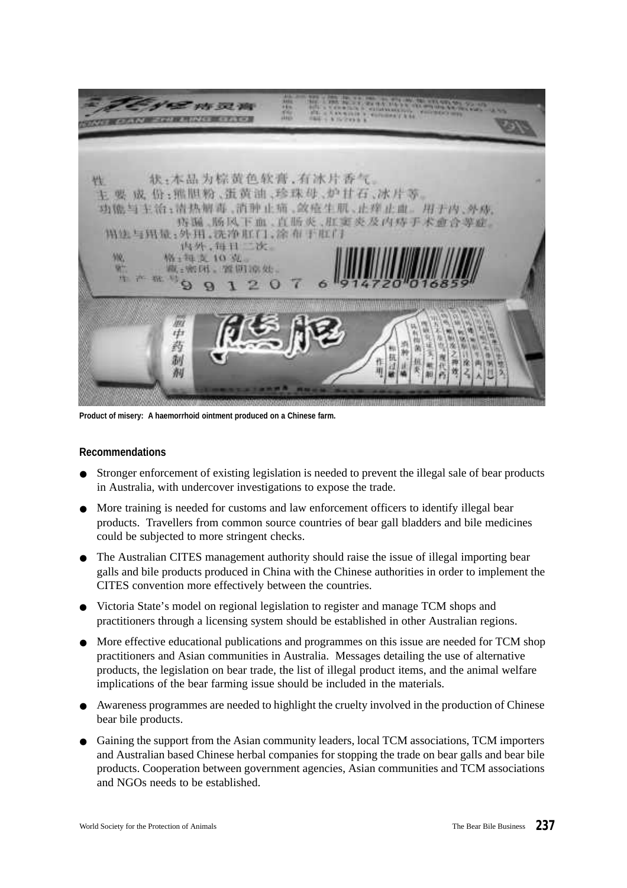

**Product of misery: A haemorrhoid ointment produced on a Chinese farm.**

## **Recommendations**

- Stronger enforcement of existing legislation is needed to prevent the illegal sale of bear products in Australia, with undercover investigations to expose the trade.
- More training is needed for customs and law enforcement officers to identify illegal bear products. Travellers from common source countries of bear gall bladders and bile medicines could be subjected to more stringent checks.
- The Australian CITES management authority should raise the issue of illegal importing bear galls and bile products produced in China with the Chinese authorities in order to implement the CITES convention more effectively between the countries.
- Victoria State's model on regional legislation to register and manage TCM shops and practitioners through a licensing system should be established in other Australian regions.
- More effective educational publications and programmes on this issue are needed for TCM shop practitioners and Asian communities in Australia. Messages detailing the use of alternative products, the legislation on bear trade, the list of illegal product items, and the animal welfare implications of the bear farming issue should be included in the materials.
- Awareness programmes are needed to highlight the cruelty involved in the production of Chinese bear bile products.
- Gaining the support from the Asian community leaders, local TCM associations, TCM importers and Australian based Chinese herbal companies for stopping the trade on bear galls and bear bile products. Cooperation between government agencies, Asian communities and TCM associations and NGOs needs to be established.